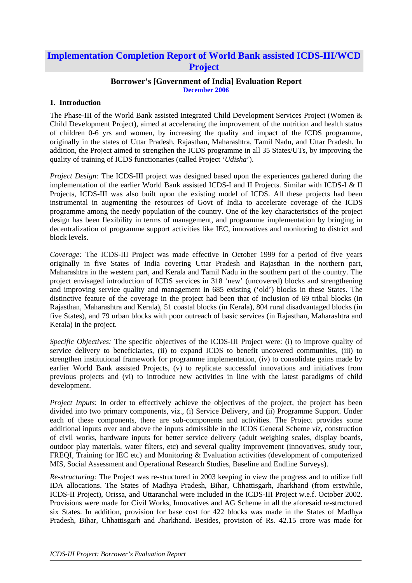# **Implementation Completion Report of World Bank assisted ICDS-III/WCD Project**

#### **Borrower's [Government of India] Evaluation Report December 2006**

#### **1. Introduction**

The Phase-III of the World Bank assisted Integrated Child Development Services Project (Women & Child Development Project), aimed at accelerating the improvement of the nutrition and health status of children 0-6 yrs and women, by increasing the quality and impact of the ICDS programme, originally in the states of Uttar Pradesh, Rajasthan, Maharashtra, Tamil Nadu, and Uttar Pradesh. In addition, the Project aimed to strengthen the ICDS programme in all 35 States/UTs, by improving the quality of training of ICDS functionaries (called Project '*Udisha*').

*Project Design:* The ICDS-III project was designed based upon the experiences gathered during the implementation of the earlier World Bank assisted ICDS-I and II Projects. Similar with ICDS-I & II Projects, ICDS-III was also built upon the existing model of ICDS. All these projects had been instrumental in augmenting the resources of Govt of India to accelerate coverage of the ICDS programme among the needy population of the country. One of the key characteristics of the project design has been flexibility in terms of management, and programme implementation by bringing in decentralization of programme support activities like IEC, innovatives and monitoring to district and block levels.

*Coverage:* The ICDS-III Project was made effective in October 1999 for a period of five years originally in five States of India covering Uttar Pradesh and Rajasthan in the northern part, Maharashtra in the western part, and Kerala and Tamil Nadu in the southern part of the country. The project envisaged introduction of ICDS services in 318 'new' (uncovered) blocks and strengthening and improving service quality and management in 685 existing ('old') blocks in these States. The distinctive feature of the coverage in the project had been that of inclusion of 69 tribal blocks (in Rajasthan, Maharashtra and Kerala), 51 coastal blocks (in Kerala), 804 rural disadvantaged blocks (in five States), and 79 urban blocks with poor outreach of basic services (in Rajasthan, Maharashtra and Kerala) in the project.

*Specific Objectives:* The specific objectives of the ICDS-III Project were: (i) to improve quality of service delivery to beneficiaries, (ii) to expand ICDS to benefit uncovered communities, (iii) to strengthen institutional framework for programme implementation, (iv) to consolidate gains made by earlier World Bank assisted Projects, (v) to replicate successful innovations and initiatives from previous projects and (vi) to introduce new activities in line with the latest paradigms of child development.

*Project Inputs*: In order to effectively achieve the objectives of the project, the project has been divided into two primary components, viz., (i) Service Delivery, and (ii) Programme Support. Under each of these components, there are sub-components and activities. The Project provides some additional inputs over and above the inputs admissible in the ICDS General Scheme *viz,* construction of civil works, hardware inputs for better service delivery (adult weighing scales, display boards, outdoor play materials, water filters, etc) and several quality improvement (innovatives, study tour, FREQI, Training for IEC etc) and Monitoring & Evaluation activities (development of computerized MIS, Social Assessment and Operational Research Studies, Baseline and Endline Surveys).

*Re-structuring:* The Project was re-structured in 2003 keeping in view the progress and to utilize full IDA allocations. The States of Madhya Pradesh, Bihar, Chhattisgarh, Jharkhand (from erstwhile, ICDS-II Project), Orissa, and Uttaranchal were included in the ICDS-III Project w.e.f. October 2002. Provisions were made for Civil Works, Innovatives and AG Scheme in all the aforesaid re-structured six States. In addition, provision for base cost for 422 blocks was made in the States of Madhya Pradesh, Bihar, Chhattisgarh and Jharkhand. Besides, provision of Rs. 42.15 crore was made for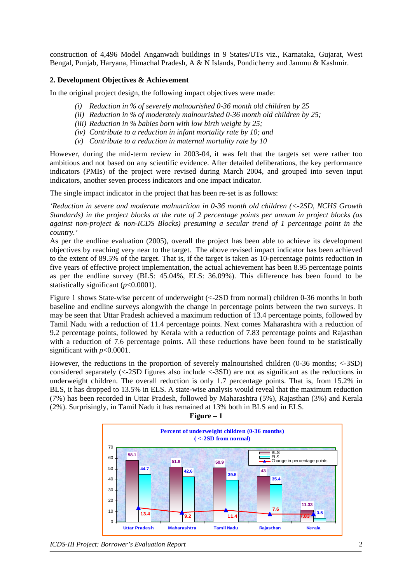construction of 4,496 Model Anganwadi buildings in 9 States/UTs viz., Karnataka, Gujarat, West Bengal, Punjab, Haryana, Himachal Pradesh, A & N Islands, Pondicherry and Jammu & Kashmir.

#### **2. Development Objectives & Achievement**

In the original project design, the following impact objectives were made:

- *(i) Reduction in % of severely malnourished 0-36 month old children by 25*
- *(ii) Reduction in % of moderately malnourished 0-36 month old children by 25;*
- *(iii) Reduction in % babies born with low birth weight by 25;*
- *(iv) Contribute to a reduction in infant mortality rate by 10; and*
- *(v) Contribute to a reduction in maternal mortality rate by 10*

However, during the mid-term review in 2003-04, it was felt that the targets set were rather too ambitious and not based on any scientific evidence. After detailed deliberations, the key performance indicators (PMIs) of the project were revised during March 2004, and grouped into seven input indicators, another seven process indicators and one impact indicator.

The single impact indicator in the project that has been re-set is as follows:

*'Reduction in severe and moderate malnutrition in 0-36 month old children (<-2SD, NCHS Growth Standards) in the project blocks at the rate of 2 percentage points per annum in project blocks (as against non-project & non-ICDS Blocks) presuming a secular trend of 1 percentage point in the country.'* 

As per the endline evaluation (2005), overall the project has been able to achieve its development objectives by reaching very near to the target. The above revised impact indicator has been achieved to the extent of 89.5% of the target. That is, if the target is taken as 10-percentage points reduction in five years of effective project implementation, the actual achievement has been 8.95 percentage points as per the endline survey (BLS: 45.04%, ELS: 36.09%). This difference has been found to be statistically significant (*p*<0.0001).

Figure 1 shows State-wise percent of underweight (<-2SD from normal) children 0-36 months in both baseline and endline surveys alongwith the change in percentage points between the two surveys. It may be seen that Uttar Pradesh achieved a maximum reduction of 13.4 percentage points, followed by Tamil Nadu with a reduction of 11.4 percentage points. Next comes Maharashtra with a reduction of 9.2 percentage points, followed by Kerala with a reduction of 7.83 percentage points and Rajasthan with a reduction of 7.6 percentage points. All these reductions have been found to be statistically significant with *p*<0.0001.

However, the reductions in the proportion of severely malnourished children (0-36 months; <-3SD) considered separately (<-2SD figures also include <-3SD) are not as significant as the reductions in underweight children. The overall reduction is only 1.7 percentage points. That is, from 15.2% in BLS, it has dropped to 13.5% in ELS. A state-wise analysis would reveal that the maximum reduction (7%) has been recorded in Uttar Pradesh, followed by Maharashtra (5%), Rajasthan (3%) and Kerala (2%). Surprisingly, in Tamil Nadu it has remained at 13% both in BLS and in ELS.





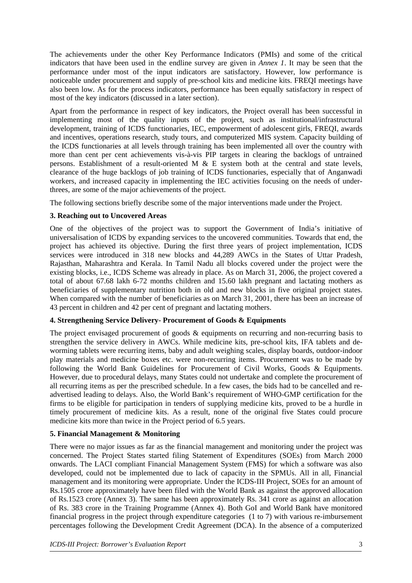The achievements under the other Key Performance Indicators (PMIs) and some of the critical indicators that have been used in the endline survey are given in *Annex 1*. It may be seen that the performance under most of the input indicators are satisfactory. However, low performance is noticeable under procurement and supply of pre-school kits and medicine kits. FREQI meetings have also been low. As for the process indicators, performance has been equally satisfactory in respect of most of the key indicators (discussed in a later section).

Apart from the performance in respect of key indicators, the Project overall has been successful in implementing most of the quality inputs of the project, such as institutional/infrastructural development, training of ICDS functionaries, IEC, empowerment of adolescent girls, FREQI, awards and incentives, operations research, study tours, and computerized MIS system. Capacity building of the ICDS functionaries at all levels through training has been implemented all over the country with more than cent per cent achievements vis-à-vis PIP targets in clearing the backlogs of untrained persons. Establishment of a result-oriented M  $\&$  E system both at the central and state levels, clearance of the huge backlogs of job training of ICDS functionaries, especially that of Anganwadi workers, and increased capacity in implementing the IEC activities focusing on the needs of underthrees, are some of the major achievements of the project.

The following sections briefly describe some of the major interventions made under the Project.

## **3. Reaching out to Uncovered Areas**

One of the objectives of the project was to support the Government of India's initiative of universalisation of ICDS by expanding services to the uncovered communities. Towards that end, the project has achieved its objective. During the first three years of project implementation, ICDS services were introduced in 318 new blocks and 44,289 AWCs in the States of Uttar Pradesh, Rajasthan, Maharashtra and Kerala. In Tamil Nadu all blocks covered under the project were the existing blocks, i.e., ICDS Scheme was already in place. As on March 31, 2006, the project covered a total of about 67.68 lakh 6-72 months children and 15.60 lakh pregnant and lactating mothers as beneficiaries of supplementary nutrition both in old and new blocks in five original project states. When compared with the number of beneficiaries as on March 31, 2001, there has been an increase of 43 percent in children and 42 per cent of pregnant and lactating mothers.

## **4. Strengthening Service Delivery- Procurement of Goods & Equipments**

The project envisaged procurement of goods & equipments on recurring and non-recurring basis to strengthen the service delivery in AWCs. While medicine kits, pre-school kits, IFA tablets and deworming tablets were recurring items, baby and adult weighing scales, display boards, outdoor-indoor play materials and medicine boxes etc. were non-recurring items. Procurement was to be made by following the World Bank Guidelines for Procurement of Civil Works, Goods & Equipments. However, due to procedural delays, many States could not undertake and complete the procurement of all recurring items as per the prescribed schedule. In a few cases, the bids had to be cancelled and readvertised leading to delays. Also, the World Bank's requirement of WHO-GMP certification for the firms to be eligible for participation in tenders of supplying medicine kits, proved to be a hurdle in timely procurement of medicine kits. As a result, none of the original five States could procure medicine kits more than twice in the Project period of 6.5 years.

## **5. Financial Management & Monitoring**

There were no major issues as far as the financial management and monitoring under the project was concerned. The Project States started filing Statement of Expenditures (SOEs) from March 2000 onwards. The LACI compliant Financial Management System (FMS) for which a software was also developed, could not be implemented due to lack of capacity in the SPMUs. All in all, Financial management and its monitoring were appropriate. Under the ICDS-III Project, SOEs for an amount of Rs.1505 crore approximately have been filed with the World Bank as against the approved allocation of Rs.1523 crore (Annex 3). The same has been approximately Rs. 341 crore as against an allocation of Rs. 383 crore in the Training Programme (Annex 4). Both GoI and World Bank have monitored financial progress in the project through expenditure categories (1 to 7) with various re-imbursement percentages following the Development Credit Agreement (DCA). In the absence of a computerized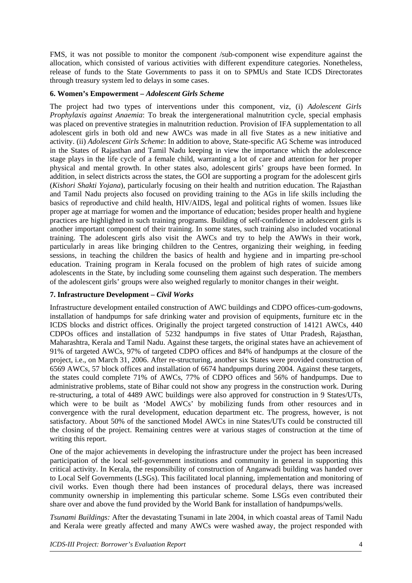FMS, it was not possible to monitor the component /sub-component wise expenditure against the allocation, which consisted of various activities with different expenditure categories. Nonetheless, release of funds to the State Governments to pass it on to SPMUs and State ICDS Directorates through treasury system led to delays in some cases.

### **6. Women's Empowerment –** *Adolescent Girls Scheme*

The project had two types of interventions under this component, viz, (i) *Adolescent Girls Prophylaxis against Anaemia*: To break the intergenerational malnutrition cycle, special emphasis was placed on preventive strategies in malnutrition reduction. Provision of IFA supplementation to all adolescent girls in both old and new AWCs was made in all five States as a new initiative and activity. (ii) *Adolescent Girls Scheme*: In addition to above, State-specific AG Scheme was introduced in the States of Rajasthan and Tamil Nadu keeping in view the importance which the adolescence stage plays in the life cycle of a female child, warranting a lot of care and attention for her proper physical and mental growth. In other states also, adolescent girls' groups have been formed. In addition, in select districts across the states, the GOI are supporting a program for the adolescent girls (*Kishori Shakti Yojana*), particularly focusing on their health and nutrition education. The Rajasthan and Tamil Nadu projects also focused on providing training to the AGs in life skills including the basics of reproductive and child health, HIV/AIDS, legal and political rights of women. Issues like proper age at marriage for women and the importance of education; besides proper health and hygiene practices are highlighted in such training programs. Building of self-confidence in adolescent girls is another important component of their training. In some states, such training also included vocational training. The adolescent girls also visit the AWCs and try to help the AWWs in their work, particularly in areas like bringing children to the Centres, organizing their weighing, in feeding sessions, in teaching the children the basics of health and hygiene and in imparting pre-school education. Training program in Kerala focused on the problem of high rates of suicide among adolescents in the State, by including some counseling them against such desperation. The members of the adolescent girls' groups were also weighed regularly to monitor changes in their weight.

### **7. Infrastructure Development –** *Civil Works*

Infrastructure development entailed construction of AWC buildings and CDPO offices-cum-godowns, installation of handpumps for safe drinking water and provision of equipments, furniture etc in the ICDS blocks and district offices. Originally the project targeted construction of 14121 AWCs, 440 CDPOs offices and installation of 5232 handpumps in five states of Uttar Pradesh, Rajasthan, Maharashtra, Kerala and Tamil Nadu. Against these targets, the original states have an achievement of 91% of targeted AWCs, 97% of targeted CDPO offices and 84% of handpumps at the closure of the project, i.e., on March 31, 2006. After re-structuring, another six States were provided construction of 6569 AWCs, 57 block offices and installation of 6674 handpumps during 2004. Against these targets, the states could complete 71% of AWCs, 77% of CDPO offices and 56% of handpumps. Due to administrative problems, state of Bihar could not show any progress in the construction work. During re-structuring, a total of 4489 AWC buildings were also approved for construction in 9 States/UTs, which were to be built as 'Model AWCs' by mobilizing funds from other resources and in convergence with the rural development, education department etc. The progress, however, is not satisfactory. About 50% of the sanctioned Model AWCs in nine States/UTs could be constructed till the closing of the project. Remaining centres were at various stages of construction at the time of writing this report.

One of the major achievements in developing the infrastructure under the project has been increased participation of the local self-government institutions and community in general in supporting this critical activity. In Kerala, the responsibility of construction of Anganwadi building was handed over to Local Self Governments (LSGs). This facilitated local planning, implementation and monitoring of civil works. Even though there had been instances of procedural delays, there was increased community ownership in implementing this particular scheme. Some LSGs even contributed their share over and above the fund provided by the World Bank for installation of handpumps/wells.

*Tsunami Buildings:* After the devastating Tsunami in late 2004, in which coastal areas of Tamil Nadu and Kerala were greatly affected and many AWCs were washed away, the project responded with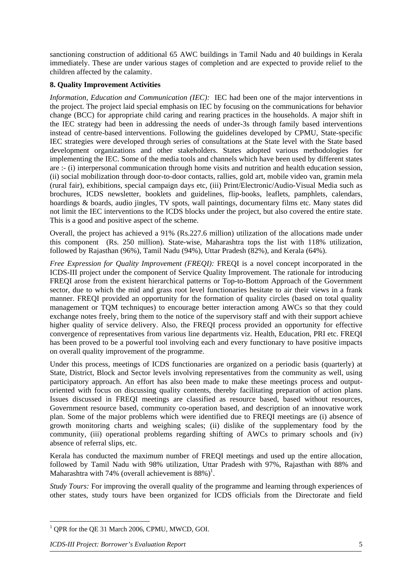sanctioning construction of additional 65 AWC buildings in Tamil Nadu and 40 buildings in Kerala immediately. These are under various stages of completion and are expected to provide relief to the children affected by the calamity.

## **8. Quality Improvement Activities**

*Information, Education and Communication (IEC):* IEC had been one of the major interventions in the project. The project laid special emphasis on IEC by focusing on the communications for behavior change (BCC) for appropriate child caring and rearing practices in the households. A major shift in the IEC strategy had been in addressing the needs of under-3s through family based interventions instead of centre-based interventions. Following the guidelines developed by CPMU, State-specific IEC strategies were developed through series of consultations at the State level with the State based development organizations and other stakeholders. States adopted various methodologies for implementing the IEC. Some of the media tools and channels which have been used by different states are :- (i) interpersonal communication through home visits and nutrition and health education session, (ii) social mobilization through door-to-door contacts, rallies, gold art, mobile video van, gramin mela (rural fair), exhibitions, special campaign days etc, (iii) Print/Electronic/Audio-Visual Media such as brochures, ICDS newsletter, booklets and guidelines, flip-books, leaflets, pamphlets, calendars, hoardings & boards, audio jingles, TV spots, wall paintings, documentary films etc. Many states did not limit the IEC interventions to the ICDS blocks under the project, but also covered the entire state. This is a good and positive aspect of the scheme.

Overall, the project has achieved a 91% (Rs.227.6 million) utilization of the allocations made under this component (Rs. 250 million). State-wise, Maharashtra tops the list with 118% utilization, followed by Rajasthan (96%), Tamil Nadu (94%), Uttar Pradesh (82%), and Kerala (64%).

*Free Expression for Quality Improvement (FREQI):* FREQI is a novel concept incorporated in the ICDS-III project under the component of Service Quality Improvement. The rationale for introducing FREQI arose from the existent hierarchical patterns or Top-to-Bottom Approach of the Government sector, due to which the mid and grass root level functionaries hesitate to air their views in a frank manner. FREQI provided an opportunity for the formation of quality circles (based on total quality management or TQM techniques) to encourage better interaction among AWCs so that they could exchange notes freely, bring them to the notice of the supervisory staff and with their support achieve higher quality of service delivery. Also, the FREQI process provided an opportunity for effective convergence of representatives from various line departments viz. Health, Education, PRI etc. FREQI has been proved to be a powerful tool involving each and every functionary to have positive impacts on overall quality improvement of the programme.

Under this process, meetings of ICDS functionaries are organized on a periodic basis (quarterly) at State, District, Block and Sector levels involving representatives from the community as well, using participatory approach. An effort has also been made to make these meetings process and outputoriented with focus on discussing quality contents, thereby facilitating preparation of action plans. Issues discussed in FREQI meetings are classified as resource based, based without resources, Government resource based, community co-operation based, and description of an innovative work plan. Some of the major problems which were identified due to FREQI meetings are (i) absence of growth monitoring charts and weighing scales; (ii) dislike of the supplementary food by the community, (iii) operational problems regarding shifting of AWCs to primary schools and (iv) absence of referral slips, etc.

Kerala has conducted the maximum number of FREQI meetings and used up the entire allocation, followed by Tamil Nadu with 98% utilization, Uttar Pradesh with 97%, Rajasthan with 88% and Maharashtra with 74% (overall achievement is  $88\%$ )<sup>1</sup>[.](#page-4-0)

*Study Tours:* For improving the overall quality of the programme and learning through experiences of other states, study tours have been organized for ICDS officials from the Directorate and field

<span id="page-4-0"></span> $\frac{1}{1}$ <sup>1</sup> QPR for the QE 31 March 2006, CPMU, MWCD, GOI.

*ICDS-III Project: Borrower's Evaluation Report* 5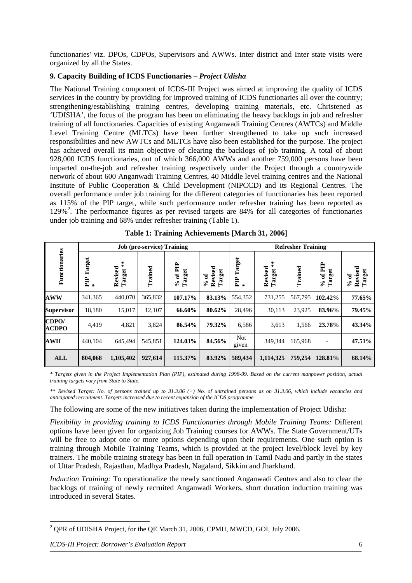functionaries' viz. DPOs, CDPOs, Supervisors and AWWs. Inter district and Inter state visits were organized by all the States.

## **9. Capacity Building of ICDS Functionaries –** *Project Udisha*

The National Training component of ICDS-III Project was aimed at improving the quality of ICDS services in the country by providing for improved training of ICDS functionaries all over the country; strengthening/establishing training centres, developing training materials, etc. Christened as 'UDISHA', the focus of the program has been on eliminating the heavy backlogs in job and refresher training of all functionaries. Capacities of existing Anganwadi Training Centres (AWTCs) and Middle Level Training Centre (MLTCs) have been further strengthened to take up such increased responsibilities and new AWTCs and MLTCs have also been established for the purpose. The project has achieved overall its main objective of clearing the backlogs of job training. A total of about 928,000 ICDS functionaries, out of which 366,000 AWWs and another 759,000 persons have been imparted on-the-job and refresher training respectively under the Project through a countrywide network of about 600 Anganwadi Training Centres, 40 Middle level training centres and the National Institute of Public Cooperation & Child Development (NIPCCD) and its Regional Centres. The overall performance under job training for the different categories of functionaries has been reported as 115% of the PIP target, while such performance under refresher training has been reported as 1[2](#page-5-0)9%<sup>2</sup>. The performance figures as per revised targets are 84% for all categories of functionaries under job training and 68% under refresher training (Table 1).

|                       |                       |                                                 | <b>Job</b> (pre-service) Training |                      | <b>Refresher Training</b>                         |                       |                                    |         |                    |                                                   |
|-----------------------|-----------------------|-------------------------------------------------|-----------------------------------|----------------------|---------------------------------------------------|-----------------------|------------------------------------|---------|--------------------|---------------------------------------------------|
| Functionaries         | Target<br>Ê<br>$\chi$ | $\frac{1}{x}$<br>Revised<br>Target <sup>:</sup> | Trained                           | $% of$ PIP<br>Target | Revised<br>Target<br>್<br>$\mathcal{S}_{\bullet}$ | Target<br>E<br>$\chi$ | $\frac{1}{x}$<br>Revised<br>Target | Trained | % of PIP<br>Target | Revised<br>Target<br>ಕ<br>$\mathcal{S}_{\bullet}$ |
| <b>AWW</b>            | 341.365               | 440,070                                         | 365,832                           | 107.17%              | 83.13%                                            | 554,352               | 731,255                            | 567,795 | 102.42%            | 77.65%                                            |
| <b>Supervisor</b>     | 18,180                | 15,017                                          | 12,107                            | 66.60%               | 80.62%                                            | 28,496                | 30,113                             | 23,925  | 83.96%             | 79.45%                                            |
| CDPO/<br><b>ACDPO</b> | 4,419                 | 4,821                                           | 3,824                             | 86.54%               | 79.32%                                            | 6,586                 | 3,613                              | 1,566   | 23.78%             | 43.34%                                            |
| <b>AWH</b>            | 440.104               | 645,494                                         | 545,851                           | 124.03%              | 84.56%                                            | <b>Not</b><br>given   | 349,344                            | 165,968 |                    | 47.51%                                            |
| ALL                   | 804,068               | 1,105,402                                       | 927,614                           | 115.37%              | 83.92%                                            | 589,434               | 1,114,325                          | 759,254 | 128.81%            | 68.14%                                            |

|  |  | Table 1: Training Achievements [March 31, 2006] |  |  |
|--|--|-------------------------------------------------|--|--|
|--|--|-------------------------------------------------|--|--|

*\* Targets given in the Project Implementation Plan (PIP), estimated during 1998-99. Based on the current manpower position, actual training targets vary from State to State.*

*\*\* Revised Target: No. of persons trained up to 31.3.06 (+) No. of untrained persons as on 31.3.06, which include vacancies and anticipated recruitment. Targets increased due to recent expansion of the ICDS programme.* 

The following are some of the new initiatives taken during the implementation of Project Udisha:

*Flexibility in providing training to ICDS Functionaries through Mobile Training Teams:* Different options have been given for organizing Job Training courses for AWWs. The State Government/UTs will be free to adopt one or more options depending upon their requirements. One such option is training through Mobile Training Teams, which is provided at the project level/block level by key trainers. The mobile training strategy has been in full operation in Tamil Nadu and partly in the states of Uttar Pradesh, Rajasthan, Madhya Pradesh, Nagaland, Sikkim and Jharkhand.

*Induction Training:* To operationalize the newly sanctioned Anganwadi Centres and also to clear the backlogs of training of newly recruited Anganwadi Workers, short duration induction training was introduced in several States.

<span id="page-5-0"></span> $\frac{1}{2}$ <sup>2</sup> QPR of UDISHA Project, for the QE March 31, 2006, CPMU, MWCD, GOI, July 2006.

*ICDS-III Project: Borrower's Evaluation Report* 6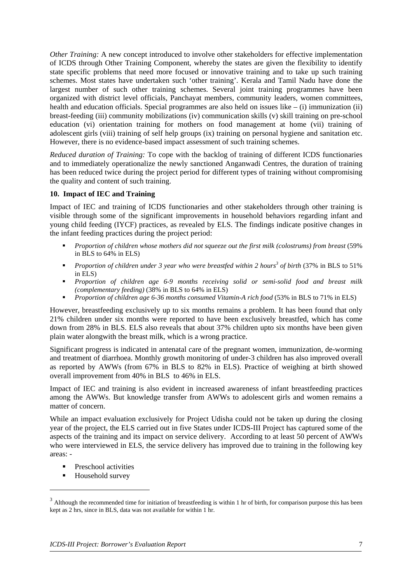*Other Training:* A new concept introduced to involve other stakeholders for effective implementation of ICDS through Other Training Component, whereby the states are given the flexibility to identify state specific problems that need more focused or innovative training and to take up such training schemes. Most states have undertaken such 'other training'. Kerala and Tamil Nadu have done the largest number of such other training schemes. Several joint training programmes have been organized with district level officials, Panchayat members, community leaders, women committees, health and education officials. Special programmes are also held on issues like  $-$  (i) immunization (ii) breast-feeding (iii) community mobilizations (iv) communication skills (v) skill training on pre-school education (vi) orientation training for mothers on food management at home (vii) training of adolescent girls (viii) training of self help groups (ix) training on personal hygiene and sanitation etc. However, there is no evidence-based impact assessment of such training schemes.

*Reduced duration of Training:* To cope with the backlog of training of different ICDS functionaries and to immediately operationalize the newly sanctioned Anganwadi Centres, the duration of training has been reduced twice during the project period for different types of training without compromising the quality and content of such training.

#### **10. Impact of IEC and Training**

Impact of IEC and training of ICDS functionaries and other stakeholders through other training is visible through some of the significant improvements in household behaviors regarding infant and young child feeding (IYCF) practices, as revealed by ELS. The findings indicate positive changes in the infant feeding practices during the project period:

- *Proportion of children whose mothers did not squeeze out the first milk (colostrums) from breast* (59% in BLS to 64% in ELS)
- **Proportion of children under 3 year who were breastfed within 2 hours<sup>3</sup> of birth (37% in BLS to 51%)** in ELS)
- *Proportion of children age 6-9 months receiving solid or semi-solid food and breast milk (complementary feeding)* (38% in BLS to 64% in ELS)
- *Proportion of children age 6-36 months consumed Vitamin-A rich food* (53% in BLS to 71% in ELS)

However, breastfeeding exclusively up to six months remains a problem. It has been found that only 21% children under six months were reported to have been exclusively breastfed, which has come down from 28% in BLS. ELS also reveals that about 37% children upto six months have been given plain water alongwith the breast milk, which is a wrong practice.

Significant progress is indicated in antenatal care of the pregnant women, immunization, de-worming and treatment of diarrhoea. Monthly growth monitoring of under-3 children has also improved overall as reported by AWWs (from 67% in BLS to 82% in ELS). Practice of weighing at birth showed overall improvement from 40% in BLS to 46% in ELS.

Impact of IEC and training is also evident in increased awareness of infant breastfeeding practices among the AWWs. But knowledge transfer from AWWs to adolescent girls and women remains a matter of concern.

While an impact evaluation exclusively for Project Udisha could not be taken up during the closing year of the project, the ELS carried out in five States under ICDS-III Project has captured some of the aspects of the training and its impact on service delivery. According to at least 50 percent of AWWs who were interviewed in ELS, the service delivery has improved due to training in the following key areas: -

- Preschool activities
- **Household survey**

 $\overline{a}$ 

<span id="page-6-0"></span><sup>&</sup>lt;sup>3</sup> Although the recommended time for initiation of breastfeeding is within 1 hr of birth, for comparison purpose this has been kept as 2 hrs, since in BLS, data was not available for within 1 hr.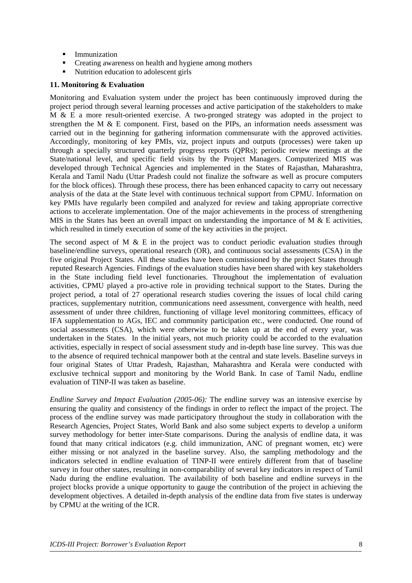- **Immunization**
- Creating awareness on health and hygiene among mothers
- Nutrition education to adolescent girls

#### **11. Monitoring & Evaluation**

Monitoring and Evaluation system under the project has been continuously improved during the project period through several learning processes and active participation of the stakeholders to make M & E a more result-oriented exercise. A two-pronged strategy was adopted in the project to strengthen the M & E component. First, based on the PIPs, an information needs assessment was carried out in the beginning for gathering information commensurate with the approved activities. Accordingly, monitoring of key PMIs, viz, project inputs and outputs (processes) were taken up through a specially structured quarterly progress reports (QPRs); periodic review meetings at the State/national level, and specific field visits by the Project Managers. Computerized MIS was developed through Technical Agencies and implemented in the States of Rajasthan, Maharashtra, Kerala and Tamil Nadu (Uttar Pradesh could not finalize the software as well as procure computers for the block offices). Through these process, there has been enhanced capacity to carry out necessary analysis of the data at the State level with continuous technical support from CPMU. Information on key PMIs have regularly been compiled and analyzed for review and taking appropriate corrective actions to accelerate implementation. One of the major achievements in the process of strengthening MIS in the States has been an overall impact on understanding the importance of M  $\&$  E activities, which resulted in timely execution of some of the key activities in the project.

The second aspect of M  $&$  E in the project was to conduct periodic evaluation studies through baseline/endline surveys, operational research (OR), and continuous social assessments (CSA) in the five original Project States. All these studies have been commissioned by the project States through reputed Research Agencies. Findings of the evaluation studies have been shared with key stakeholders in the State including field level functionaries. Throughout the implementation of evaluation activities, CPMU played a pro-active role in providing technical support to the States. During the project period, a total of 27 operational research studies covering the issues of local child caring practices, supplementary nutrition, communications need assessment, convergence with health, need assessment of under three children, functioning of village level monitoring committees, efficacy of IFA supplementation to AGs, IEC and community participation etc., were conducted. One round of social assessments (CSA), which were otherwise to be taken up at the end of every year, was undertaken in the States. In the initial years, not much priority could be accorded to the evaluation activities, especially in respect of social assessment study and in-depth base line survey. This was due to the absence of required technical manpower both at the central and state levels. Baseline surveys in four original States of Uttar Pradesh, Rajasthan, Maharashtra and Kerala were conducted with exclusive technical support and monitoring by the World Bank. In case of Tamil Nadu, endline evaluation of TINP-II was taken as baseline.

*Endline Survey and Impact Evaluation (2005-06):* The endline survey was an intensive exercise by ensuring the quality and consistency of the findings in order to reflect the impact of the project. The process of the endline survey was made participatory throughout the study in collaboration with the Research Agencies, Project States, World Bank and also some subject experts to develop a uniform survey methodology for better inter-State comparisons. During the analysis of endline data, it was found that many critical indicators (e.g. child immunization, ANC of pregnant women, etc) were either missing or not analyzed in the baseline survey. Also, the sampling methodology and the indicators selected in endline evaluation of TINP-II were entirely different from that of baseline survey in four other states, resulting in non-comparability of several key indicators in respect of Tamil Nadu during the endline evaluation. The availability of both baseline and endline surveys in the project blocks provide a unique opportunity to gauge the contribution of the project in achieving the development objectives. A detailed in-depth analysis of the endline data from five states is underway by CPMU at the writing of the ICR.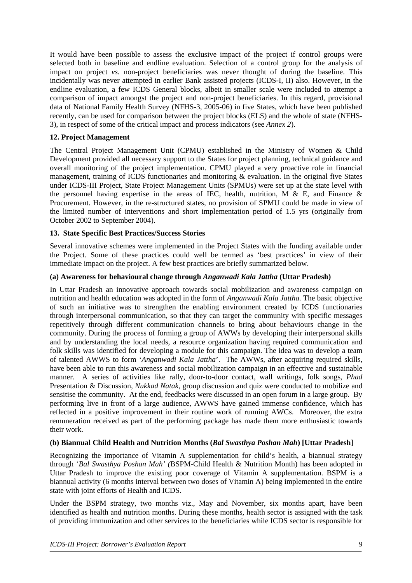It would have been possible to assess the exclusive impact of the project if control groups were selected both in baseline and endline evaluation. Selection of a control group for the analysis of impact on project *vs.* non-project beneficiaries was never thought of during the baseline. This incidentally was never attempted in earlier Bank assisted projects (ICDS-I, II) also. However, in the endline evaluation, a few ICDS General blocks, albeit in smaller scale were included to attempt a comparison of impact amongst the project and non-project beneficiaries. In this regard, provisional data of National Family Health Survey (NFHS-3, 2005-06) in five States, which have been published recently, can be used for comparison between the project blocks (ELS) and the whole of state (NFHS-3), in respect of some of the critical impact and process indicators (see *Annex 2*).

## **12. Project Management**

The Central Project Management Unit (CPMU) established in the Ministry of Women & Child Development provided all necessary support to the States for project planning, technical guidance and overall monitoring of the project implementation. CPMU played a very proactive role in financial management, training of ICDS functionaries and monitoring & evaluation. In the original five States under ICDS-III Project, State Project Management Units (SPMUs) were set up at the state level with the personnel having expertise in the areas of IEC, health, nutrition,  $\overrightarrow{M} \&$  E, and Finance  $\&$ Procurement. However, in the re-structured states, no provision of SPMU could be made in view of the limited number of interventions and short implementation period of 1.5 yrs (originally from October 2002 to September 2004).

#### **13. State Specific Best Practices/Success Stories**

Several innovative schemes were implemented in the Project States with the funding available under the Project. Some of these practices could well be termed as 'best practices' in view of their immediate impact on the project. A few best practices are briefly summarized below.

#### **(a) Awareness for behavioural change through** *Anganwadi Kala Jattha* **(Uttar Pradesh)**

In Uttar Pradesh an innovative approach towards social mobilization and awareness campaign on nutrition and health education was adopted in the form of *Anganwadi Kala Jattha.* The basic objective of such an initiative was to strengthen the enabling environment created by ICDS functionaries through interpersonal communication, so that they can target the community with specific messages repetitively through different communication channels to bring about behaviours change in the community. During the process of forming a group of AWWs by developing their interpersonal skills and by understanding the local needs, a resource organization having required communication and folk skills was identified for developing a module for this campaign. The idea was to develop a team of talented AWWS to form '*Anganwadi Kala Jattha*'. The AWWs, after acquiring required skills, have been able to run this awareness and social mobilization campaign in an effective and sustainable manner. A series of activities like rally, door-to-door contact, wall writings, folk songs, *Phad* Presentation & Discussion, *Nukkad Natak*, group discussion and quiz were conducted to mobilize and sensitise the community. At the end, feedbacks were discussed in an open forum in a large group. By performing live in front of a large audience, AWWS have gained immense confidence, which has reflected in a positive improvement in their routine work of running AWCs. Moreover, the extra remuneration received as part of the performing package has made them more enthusiastic towards their work.

#### **(b) Biannual Child Health and Nutrition Months (***Bal Swasthya Poshan Mah***) [Uttar Pradesh]**

Recognizing the importance of Vitamin A supplementation for child's health, a biannual strategy through '*Bal Swasthya Poshan Mah' (*BSPM-Child Health & Nutrition Month) has been adopted in Uttar Pradesh to improve the existing poor coverage of Vitamin A supplementation. BSPM is a biannual activity (6 months interval between two doses of Vitamin A) being implemented in the entire state with joint efforts of Health and ICDS.

Under the BSPM strategy, two months viz., May and November, six months apart, have been identified as health and nutrition months. During these months, health sector is assigned with the task of providing immunization and other services to the beneficiaries while ICDS sector is responsible for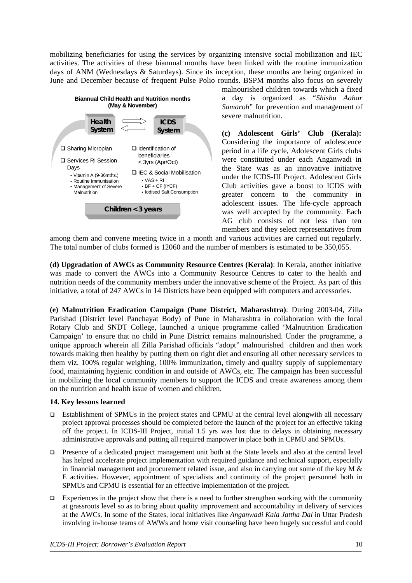mobilizing beneficiaries for using the services by organizing intensive social mobilization and IEC activities. The activities of these biannual months have been linked with the routine immunization days of ANM (Wednesdays & Saturdays). Since its inception, these months are being organized in June and December because of frequent Pulse Polio rounds. BSPM months also focus on severely



malnourished children towards which a fixed a day is organized as "*Shishu Aahar Samaroh*" for prevention and management of severe malnutrition.

**(c) Adolescent Girls' Club (Kerala):**  Considering the importance of adolescence period in a life cycle, Adolescent Girls clubs were constituted under each Anganwadi in the State was as an innovative initiative under the ICDS-III Project. Adolescent Girls Club activities gave a boost to ICDS with greater concern to the community in adolescent issues. The life-cycle approach was well accepted by the community. Each AG club consists of not less than ten members and they select representatives from

among them and convene meeting twice in a month and various activities are carried out regularly. The total number of clubs formed is 12060 and the number of members is estimated to be 350,055.

**(d) Upgradation of AWCs as Community Resource Centres (Kerala)**: In Kerala, another initiative was made to convert the AWCs into a Community Resource Centres to cater to the health and nutrition needs of the community members under the innovative scheme of the Project. As part of this initiative, a total of 247 AWCs in 14 Districts have been equipped with computers and accessories.

**trition Eradication Campaign (Pune District, Maharashtra)**: During 2003-04, Zilla **(e) Malnu** Parishad (District level Panchayat Body) of Pune in Maharashtra in collaboration with the local Rotary Club and SNDT College, launched a unique programme called 'Malnutrition Eradication Campaign' to ensure that no child in Pune District remains malnourished. Under the programme, a unique approach wherein all Zilla Parishad officials "adopt" malnourished children and then work towards making then healthy by putting them on right diet and ensuring all other necessary services to them viz. 100% regular weighing, 100% immunization, timely and quality supply of supplementary food, maintaining hygienic condition in and outside of AWCs, etc. The campaign has been successful in mobilizing the local community members to support the ICDS and create awareness among them on the nutrition and health issue of women and children.

#### **14. Key lessons learned**

- □ Establishment of SPMUs in the project states and CPMU at the central level alongwith all necessary project approval processes should be completed before the launch of the project for an effective taking off the project. In ICDS-III Project, initial 1.5 yrs was lost due to delays in obtaining necessary administrative approvals and putting all required manpower in place both in CPMU and SPMUs.
- **Presence of a dedicated project management unit both at the State levels and also at the central level** has helped accelerate project implementation with required guidance and technical support, especially in financial management and procurement related issue, and also in carrying out some of the key M & E activities. However, appointment of specialists and continuity of the project personnel both in SPMUs and CPMU is essential for an effective implementation of the project.
- $\Box$  Experiences in the project show that there is a need to further strengthen working with the community at grassroots level so as to bring about quality improvement and accountability in delivery of services at the AWCs. In some of the States, local initiatives like *Anganwadi Kala Jattha Dal* in Uttar Pradesh involving in-house teams of AWWs and home visit counseling have been hugely successful and could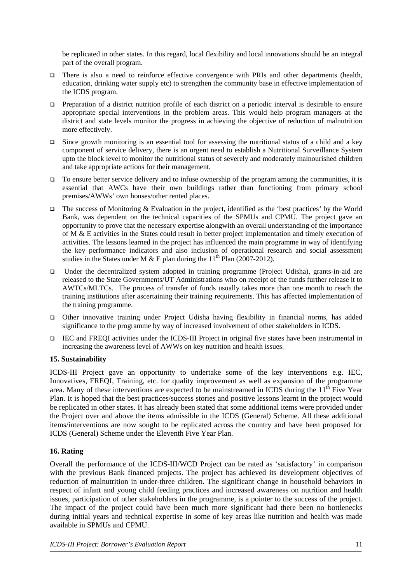be replicated in other states. In this regard, local flexibility and local innovations should be an integral part of the overall program.

- There is also a need to reinforce effective convergence with PRIs and other departments (health, education, drinking water supply etc) to strengthen the community base in effective implementation of the ICDS program.
- $\Box$  Preparation of a district nutrition profile of each district on a periodic interval is desirable to ensure appropriate special interventions in the problem areas. This would help program managers at the district and state levels monitor the progress in achieving the objective of reduction of malnutrition more effectively.
- $\Box$  Since growth monitoring is an essential tool for assessing the nutritional status of a child and a key component of service delivery, there is an urgent need to establish a Nutritional Surveillance System upto the block level to monitor the nutritional status of severely and moderately malnourished children and take appropriate actions for their management.
- $\Box$  To ensure better service delivery and to infuse ownership of the program among the communities, it is essential that AWCs have their own buildings rather than functioning from primary school premises/AWWs' own houses/other rented places.
- The success of Monitoring & Evaluation in the project, identified as the 'best practices' by the World Bank, was dependent on the technical capacities of the SPMUs and CPMU. The project gave an opportunity to prove that the necessary expertise alongwith an overall understanding of the importance of M & E activities in the States could result in better project implementation and timely execution of activities. The lessons learned in the project has influenced the main programme in way of identifying the key performance indicators and also inclusion of operational research and social assessment studies in the States under M & E plan during the  $11^{th}$  Plan (2007-2012).
- □ Under the decentralized system adopted in training programme (Project Udisha), grants-in-aid are released to the State Governments/UT Administrations who on receipt of the funds further release it to AWTCs/MLTCs. The process of transfer of funds usually takes more than one month to reach the training institutions after ascertaining their training requirements. This has affected implementation of the training programme.
- □ Other innovative training under Project Udisha having flexibility in financial norms, has added significance to the programme by way of increased involvement of other stakeholders in ICDS.
- $\Box$  IEC and FREQI activities under the ICDS-III Project in original five states have been instrumental in increasing the awareness level of AWWs on key nutrition and health issues.

## **15. Sustainability**

ICDS-III Project gave an opportunity to undertake some of the key interventions e.g. IEC, Innovatives, FREQI, Training, etc. for quality improvement as well as expansion of the programme area. Many of these interventions are expected to be mainstreamed in ICDS during the  $11<sup>th</sup>$  Five Year Plan. It is hoped that the best practices/success stories and positive lessons learnt in the project would be replicated in other states. It has already been stated that some additional items were provided under the Project over and above the items admissible in the ICDS (General) Scheme. All these additional items/interventions are now sought to be replicated across the country and have been proposed for ICDS (General) Scheme under the Eleventh Five Year Plan.

## **6. Rating 1**

Overall the performance of the ICDS-III/WCD Project can be rated as 'satisfactory' in comparison available in SPMUs and CPMU. with the previous Bank financed projects. The project has achieved its development objectives of reduction of malnutrition in under-three children. The significant change in household behaviors in respect of infant and young child feeding practices and increased awareness on nutrition and health issues, participation of other stakeholders in the programme, is a pointer to the success of the project. The impact of the project could have been much more significant had there been no bottlenecks during initial years and technical expertise in some of key areas like nutrition and health was made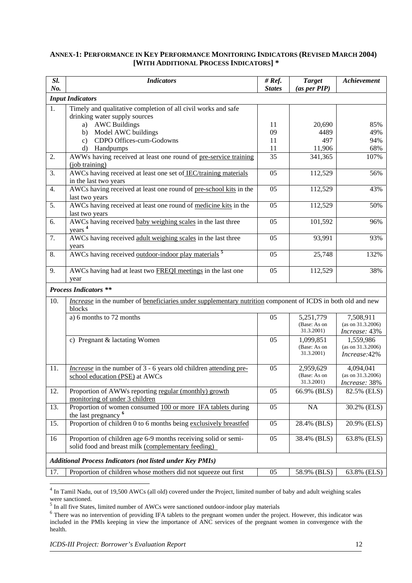#### **ANNEX-1: PERFORMANCE IN KEY PERFORMANCE MONITORING INDICATORS (REVISED MARCH 20 04) [WITH ADDITIONAL PROCESS INDICATORS] \***

| Sl.<br>No. | <b>Indicators</b>                                                                                                            | # $Ref.$<br><b>States</b> | <b>Target</b><br>(as per PIP)           | Achievement                                     |
|------------|------------------------------------------------------------------------------------------------------------------------------|---------------------------|-----------------------------------------|-------------------------------------------------|
|            | <b>Input Indicators</b>                                                                                                      |                           |                                         |                                                 |
| 1.         | Timely and qualitative completion of all civil works and safe<br>drinking water supply sources                               |                           |                                         |                                                 |
|            | <b>AWC Buildings</b><br>a)                                                                                                   | 11                        | 20,690                                  | 85%                                             |
|            | Model AWC buildings<br>b)                                                                                                    | 09                        | 4489                                    | 49%                                             |
|            | CDPO Offices-cum-Godowns<br>$\mathbf{c}$ )                                                                                   | 11                        | 497                                     | 94%                                             |
|            | Handpumps<br>d)                                                                                                              | 11                        | 11,906                                  | 68%                                             |
| 2.         | AWWs having received at least one round of pre-service training<br>(job training)                                            | $\overline{35}$           | 341,365                                 | 107%                                            |
| 3.         | AWCs having received at least one set of IEC/training materials<br>in the last two years                                     | 05                        | 112,529                                 | 56%                                             |
| 4.         | AWCs having received at least one round of pre-school kits in the<br>last two years                                          | 05                        | 112,529                                 | 43%                                             |
| 5.         | AWCs having received at least one round of medicine kits in the<br>last two years                                            | 05                        | 112,529                                 | 50%                                             |
| 6.         | AWCs having received baby weighing scales in the last three<br>years <sup>4</sup>                                            | 05                        | 101,592                                 | 96%                                             |
| 7.         | AWCs having received adult weighing scales in the last three<br>years                                                        | 05                        | 93,991                                  | 93%                                             |
| 8.         | AWCs having received outdoor-indoor play materials <sup>5</sup>                                                              | 05                        | 25,748                                  | 132%                                            |
| 9.         | AWCs having had at least two <b>FREQI</b> meetings in the last one<br>year                                                   | 05                        | 112,529                                 | 38%                                             |
|            | <b>Process Indicators **</b>                                                                                                 |                           |                                         |                                                 |
| 10.        | <i>Increase</i> in the number of beneficiaries under supplementary nutrition component of ICDS in both old and new<br>blocks |                           |                                         |                                                 |
|            | a) 6 months to 72 months                                                                                                     | 05                        | 5,251,779<br>(Base: As on<br>31.3.2001) | 7,508,911<br>(as on 31.3.2006)<br>Increase: 43% |
|            | c) Pregnant & lactating Women                                                                                                | 05                        | 1,099,851<br>(Base: As on<br>31.3.2001) | 1,559,986<br>(as on 31.3.2006)<br>Increase: 42% |
| 11.        | <i>Increase</i> in the number of 3 - 6 years old children attending pre-<br>school education (PSE) at AWCs                   | 05                        | 2,959,629<br>(Base: As on<br>31.3.2001) | 4,094,041<br>(as on 31.3.2006)<br>Increase: 38% |
| 12.        | Proportion of AWWs reporting regular (monthly) growth<br>monitoring of under 3 children                                      | 05                        | 66.9% (BLS)                             | 82.5% (ELS)                                     |
| 13.        | Proportion of women consumed 100 or more IFA tablets during<br>the last pregnancy <sup>6</sup>                               | 05                        | NA                                      | 30.2% (ELS)                                     |
| 15.        | Proportion of children 0 to 6 months being exclusively breastfed                                                             | 05                        | 28.4% (BLS)                             | 20.9% (ELS)                                     |
| 16         | Proportion of children age 6-9 months receiving solid or semi-<br>solid food and breast milk (complementary feeding)         | 05                        | 38.4% (BLS)                             | 63.8% (ELS)                                     |
|            | <b>Additional Process Indicators (not listed under Key PMIs)</b>                                                             |                           |                                         |                                                 |
| 17.        | Proportion of children whose mothers did not squeeze out first                                                               | 05                        | 58.9% (BLS)                             | 63.8% (ELS)                                     |

<span id="page-11-0"></span><sup>4</sup> In Tamil Nadu, out of 19,500 AWCs (all old) covered under the Project, limited number of baby and adult weighing scales were sanctioned.

<span id="page-11-1"></span> $<sup>5</sup>$  In all five States, limited number of AWCs were sanctioned outdoor-indoor play materials</sup>

<span id="page-11-2"></span><sup>&</sup>lt;sup>6</sup> There was no intervention of providing IFA tablets to the pregnant women under the project. However, this indicator was included in the PMIs keeping in view the importance of ANC services of the pregnant women in convergence with the health.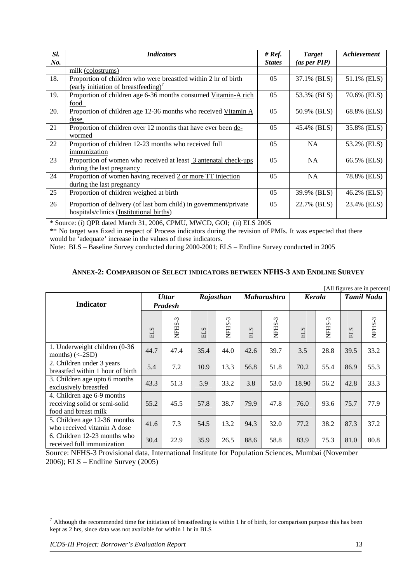| Sl.             | <b>Indicators</b>                                                                                                  | # $Ref.$       | <b>Target</b> | Achievement |
|-----------------|--------------------------------------------------------------------------------------------------------------------|----------------|---------------|-------------|
| $\mathbf{N}$ o. |                                                                                                                    | <b>States</b>  | (as per PIP)  |             |
|                 | milk (colostrums)                                                                                                  |                |               |             |
| 18.             | Proportion of children who were breastfed within 2 hr of birth<br>(early initiation of breastfeeding) <sup>7</sup> | 05             | 37.1% (BLS)   | 51.1% (ELS) |
| 19.             | Proportion of children age 6-36 months consumed Vitamin-A rich                                                     | 05             | 53.3% (BLS)   | 70.6% (ELS) |
|                 | food                                                                                                               |                |               |             |
| 20.             | Proportion of children age 12-36 months who received Vitamin A                                                     | 05             | 50.9% (BLS)   | 68.8% (ELS) |
|                 | dose                                                                                                               |                |               |             |
| 21              | Proportion of children over 12 months that have ever been de-                                                      | 05             | 45.4% (BLS)   | 35.8% (ELS) |
|                 | wormed                                                                                                             |                |               |             |
| 22              | Proportion of children 12-23 months who received full                                                              | 0 <sub>5</sub> | <b>NA</b>     | 53.2% (ELS) |
|                 | immunization                                                                                                       |                |               |             |
| 23              | Proportion of women who received at least 3 antenatal check-ups                                                    | 05             | <b>NA</b>     | 66.5% (ELS) |
|                 | during the last pregnancy                                                                                          |                |               |             |
| 24              | Proportion of women having received 2 or more TT injection                                                         | 05             | NA.           | 78.8% (ELS) |
|                 | during the last pregnancy                                                                                          |                |               |             |
| 25              | Proportion of children weighed at birth                                                                            | 05             | 39.9% (BLS)   | 46.2% (ELS) |
| 26              | Proportion of delivery (of last born child) in government/private<br>hospitals/clinics (Institutional births)      | 05             | 22.7% (BLS)   | 23.4% (ELS) |

\* Source: (i) QPR dated March 31, 2006, CPMU, MWCD, GOI; (ii) ELS 2005

\*\* No target was fixed in respect of Process indicators during the revision of PMIs. It was expected that there would be 'adequate' increase in the values of these indicators.

Note: BLS - Baseline Survey conducted during 2000-2001; ELS - Endline Survey conducted in 2005

#### **ANNEX-2: COMPARISON OF SELECT INDICATORS BETWEEN NFHS-3 AND ENDLINE SURVEY**

| [All figures are in percent]                                                        |                                |        |            |        |                    |        |            |        |                   |        |
|-------------------------------------------------------------------------------------|--------------------------------|--------|------------|--------|--------------------|--------|------------|--------|-------------------|--------|
| <b>Indicator</b>                                                                    | <b>Uttar</b><br><b>Pradesh</b> |        | Rajasthan  |        | <b>Maharashtra</b> |        | Kerala     |        | <b>Tamil Nadu</b> |        |
|                                                                                     | <b>ELS</b>                     | NFHS-3 | <b>ELS</b> | NFHS-3 | <b>ELS</b>         | NFHS-3 | <b>ELS</b> | NFHS-3 | <b>ELS</b>        | NFHS-3 |
| 1. Underweight children (0-36<br>months) $(<-2SD$ )                                 | 44.7                           | 47.4   | 35.4       | 44.0   | 42.6               | 39.7   | 3.5        | 28.8   | 39.5              | 33.2   |
| 2. Children under 3 years<br>breastfed within 1 hour of birth                       | 5.4                            | 7.2    | 10.9       | 13.3   | 56.8               | 51.8   | 70.2       | 55.4   | 86.9              | 55.3   |
| 3. Children age upto 6 months<br>exclusively breastfed                              | 43.3                           | 51.3   | 5.9        | 33.2   | 3.8                | 53.0   | 18.90      | 56.2   | 42.8              | 33.3   |
| 4. Children age 6-9 months<br>receiving solid or semi-solid<br>food and breast milk | 55.2                           | 45.5   | 57.8       | 38.7   | 79.9               | 47.8   | 76.0       | 93.6   | 75.7              | 77.9   |
| 5. Children age 12-36 months<br>who received vitamin A dose                         | 41.6                           | 7.3    | 54.5       | 13.2   | 94.3               | 32.0   | 77.2       | 38.2   | 87.3              | 37.2   |
| 6. Children 12-23 months who<br>received full immunization                          | 30.4                           | 22.9   | 35.9       | 26.5   | 88.6               | 58.8   | 83.9       | 75.3   | 81.0              | 80.8   |

Source: NFHS-3 Provisional data, International Institute for Population Sciences, Mumbai (November 2 006); ELS – Endline Survey (2005)

<span id="page-12-0"></span> $<sup>7</sup>$  Although the recommended time for initiation of breastfeeding is within 1 hr of birth, for comparison purpose this has been</sup> kept as 2 hrs, since data was not available for within 1 hr in BLS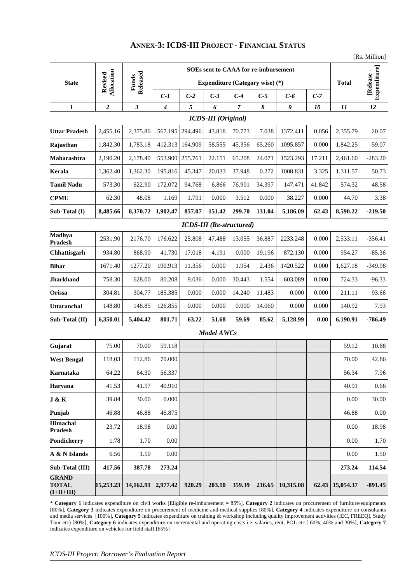## **ANNEX-3: ICDS-III PROJECT - FINANCIAL STATUS**

|                                              |                       |                   | SOEs sent to CAAA for re-imbursement |                                        |                            |                                 |                                    |           |        |           |           |
|----------------------------------------------|-----------------------|-------------------|--------------------------------------|----------------------------------------|----------------------------|---------------------------------|------------------------------------|-----------|--------|-----------|-----------|
| <b>State</b>                                 | Allocation<br>Revised | Released<br>Funds |                                      | <b>Expenditure (Category wise)</b> (*) |                            | <b>Total</b>                    | <b>Expenditure</b> ]<br>[Release - |           |        |           |           |
|                                              |                       |                   | $C-1$                                | $C-2$                                  | $C-3$                      | $C-4$                           | $C-5$                              | $C-6$     | $C-7$  |           |           |
| $\boldsymbol{l}$                             | $\overline{2}$        | $\mathfrak{z}$    | $\boldsymbol{4}$                     | 5                                      | 6                          | $\overline{7}$                  | 8                                  | 9         | 10     | 11        | 12        |
|                                              |                       |                   |                                      |                                        | <b>ICDS-III</b> (Original) |                                 |                                    |           |        |           |           |
| <b>Uttar Pradesh</b>                         | 2,455.16              | 2,375.86          | 567.195                              | 294.496                                | 43.818                     | 70.773                          | 7.038                              | 1372.411  | 0.056  | 2,355.79  | 20.07     |
| Rajasthan                                    | 1,842.30              | 1,783.18          | 412.313                              | 164.909                                | 58.555                     | 45.356                          | 65.260                             | 1095.857  | 0.000  | 1,842.25  | $-59.07$  |
| Maharashtra                                  | 2,190.20              | 2,178.40          | 553.900                              | 255.761                                | 22.151                     | 65.208                          | 24.071                             | 1523.293  | 17.211 | 2,461.60  | $-283.20$ |
| Kerala                                       | 1,362.40              | 1,362.30          | 195.816                              | 45.347                                 | 20.033                     | 37.948                          | 0.272                              | 1008.831  | 3.325  | 1,311.57  | 50.73     |
| <b>Tamil Nadu</b>                            | 573.30                | 622.90            | 172.072                              | 94.768                                 | 6.866                      | 76.901                          | 34.397                             | 147.471   | 41.842 | 574.32    | 48.58     |
| <b>CPMU</b>                                  | 62.30                 | 48.08             | 1.169                                | 1.791                                  | 0.000                      | 3.512                           | 0.000                              | 38.227    | 0.000  | 44.70     | 3.38      |
| Sub-Total (I)                                | 8,485.66              | 8,370.72          | 1,902.47                             | 857.07                                 | 151.42                     | 299.70                          | 131.04                             | 5,186.09  | 62.43  | 8,590.22  | $-219.50$ |
|                                              |                       |                   |                                      |                                        |                            | <b>ICDS-III</b> (Re-structured) |                                    |           |        |           |           |
| <b>Madhya</b><br><b>Pradesh</b>              | 2531.90               | 2176.70           | 176.622                              | 25.808                                 | 47.488                     | 13.055                          | 36.887                             | 2233.248  | 0.000  | 2,533.11  | $-356.41$ |
| Chhattisgarh                                 | 934.80                | 868.90            | 41.730                               | 17.018                                 | 4.191                      | 0.000                           | 19.196                             | 872.130   | 0.000  | 954.27    | $-85.36$  |
| <b>Bihar</b>                                 | 1671.40               | 1277.20           | 190.913                              | 11.356                                 | 0.000                      | 1.954                           | 2.436                              | 1420.522  | 0.000  | 1,627.18  | $-349.98$ |
| <b>Jharkhand</b>                             | 758.30                | 628.00            | 80.208                               | 9.036                                  | 0.000                      | 30.443                          | 1.554                              | 603.089   | 0.000  | 724.33    | $-96.33$  |
| Orissa                                       | 304.81                | 304.77            | 185.385                              | 0.000                                  | 0.000                      | 14.240                          | 11.483                             | 0.000     | 0.000  | 211.11    | 93.66     |
| <b>Uttaranchal</b>                           | 148.80                | 148.85            | 126.855                              | 0.000                                  | 0.000                      | 0.000                           | 14.060                             | 0.000     | 0.000  | 140.92    | 7.93      |
| Sub-Total (II)                               | 6,350.01              | 5,404.42          | 801.71                               | 63.22                                  | 51.68                      | 59.69                           | 85.62                              | 5,128.99  | 0.00   | 6,190.91  | $-786.49$ |
|                                              |                       |                   |                                      |                                        | Model AWCs                 |                                 |                                    |           |        |           |           |
| Gujarat                                      | 75.00                 | 70.00             | 59.118                               |                                        |                            |                                 |                                    |           |        | 59.12     | 10.88     |
| <b>West Bengal</b>                           | 118.03                | 112.86            | 70.000                               |                                        |                            |                                 |                                    |           |        | 70.00     | 42.86     |
| Karnataka                                    | 64.22                 | 64.30             | 56.337                               |                                        |                            |                                 |                                    |           |        | 56.34     | 7.96      |
| Haryana                                      | 41.53                 | 41.57             | 40.910                               |                                        |                            |                                 |                                    |           |        | 40.91     | 0.66      |
| J & K                                        | 39.84                 | 30.00             | 0.000                                |                                        |                            |                                 |                                    |           |        | 0.00      | 30.00     |
| Punjab                                       | 46.88                 | 46.88             | 46.875                               |                                        |                            |                                 |                                    |           |        | 46.88     | $0.00\,$  |
| <b>Himachal</b><br><b>Pradesh</b>            | 23.72                 | 18.98             | $0.00\,$                             |                                        |                            |                                 |                                    |           |        | 0.00      | 18.98     |
| Pondicherry                                  | 1.78                  | 1.70              | 0.00                                 |                                        |                            |                                 |                                    |           |        | 0.00      | 1.70      |
| A & N Islands                                | 6.56                  | 1.50              | 0.00                                 |                                        |                            |                                 |                                    |           |        | 0.00      | 1.50      |
| Sub-Total (III)                              | 417.56                | 387.78            | 273.24                               |                                        |                            |                                 |                                    |           |        | 273.24    | 114.54    |
| <b>GRAND</b><br><b>TOTAL</b><br>$(I+II+III)$ | 15,253.23             | 14,162.91         | 2,977.42                             | 920.29                                 | 203.10                     | 359.39                          | 216.65                             | 10,315.08 | 62.43  | 15,054.37 | $-891.45$ |

\* **Category 1** indicates expenditure on civil works [Eligible re-imbursement = 85%], **Category 2** indicates on procurement of furniture/equipments [80%], **Category 3** indicates expenditure on procurement of medicine and medical supplies [80%], **Category 4** indicates expenditure on consultants **tegory 7** Tour etc) [80%], **Category 6** indicates expenditure on incremental and operating costs i.e. salaries, rent, POL etc.[ 60%, 40% and 30%], **Ca** and media services [100%], **Category 5** indicates expenditure on training & workshop including quality improvement activities (IEC, FREEQI, Study and media services [100%], **Category 5** indicates expenditure on training & indicates expenditure on vehicles for field staff [65%]